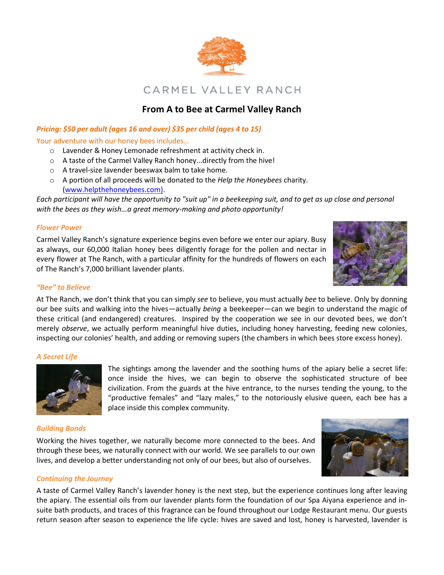

# **From A to Bee at Carmel Valley Ranch**

## *Pricing: \$50 per adult (ages 16 and over) \$35 per child (ages 4 to 15)*

Your adventure with our honey bees includes…

- o Lavender & Honey Lemonade refreshment at activity check in.
- o A taste of the Carmel Valley Ranch honey...directly from the hive!
- o A travel-size lavender beeswax balm to take home.
- o A portion of all proceeds will be donated to the *Help the Honeybees* charity. [\(www.helpthehoneybees.com\)](http://www.helpthehoneybees.com/).

*Each participant will have the opportunity to "suit up" in a beekeeping suit, and to get as up close and personal with the bees as they wish...a great memory-making and photo opportunity!*

### *Flower Power*

Carmel Valley Ranch's signature experience begins even before we enter our apiary. Busy as always, our 60,000 Italian honey bees diligently forage for the pollen and nectar in every flower at The Ranch, with a particular affinity for the hundreds of flowers on each of The Ranch's 7,000 brilliant lavender plants.



## *"Bee" to Believe*

At The Ranch, we don't think that you can simply *see* to believe, you must actually *bee* to believe. Only by donning our bee suits and walking into the hives—actually *being* a beekeeper—can we begin to understand the magic of these critical (and endangered) creatures. Inspired by the cooperation we see in our devoted bees, we don't merely *observe*, we actually perform meaningful hive duties, including honey harvesting, feeding new colonies, inspecting our colonies' health, and adding or removing supers (the chambers in which bees store excess honey).

### *A Secret Life*



The sightings among the lavender and the soothing hums of the apiary belie a secret life: once inside the hives, we can begin to observe the sophisticated structure of bee civilization. From the guards at the hive entrance, to the nurses tending the young, to the "productive females" and "lazy males," to the notoriously elusive queen, each bee has a place inside this complex community.

### *Building Bonds*

Working the hives together, we naturally become more connected to the bees. And through these bees, we naturally connect with our world. We see parallels to our own lives, and develop a better understanding not only of our bees, but also of ourselves.



### *Continuing the Journey*

A taste of Carmel Valley Ranch's lavender honey is the next step, but the experience continues long after leaving the apiary. The essential oils from our lavender plants form the foundation of our Spa Aiyana experience and insuite bath products, and traces of this fragrance can be found throughout our Lodge Restaurant menu. Our guests return season after season to experience the life cycle: hives are saved and lost, honey is harvested, lavender is